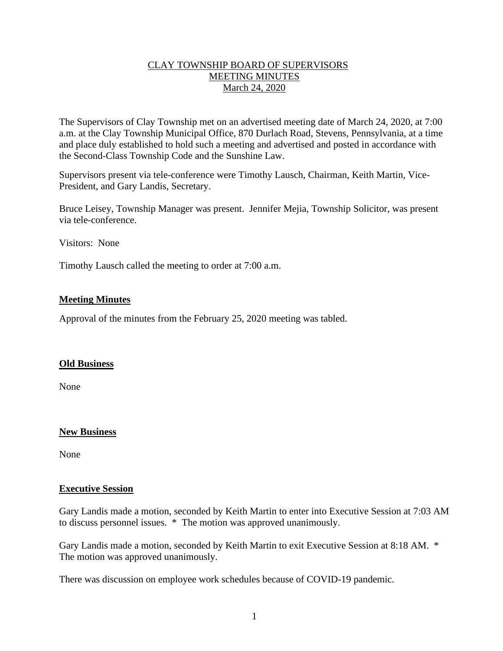## CLAY TOWNSHIP BOARD OF SUPERVISORS MEETING MINUTES March 24, 2020

The Supervisors of Clay Township met on an advertised meeting date of March 24, 2020, at 7:00 a.m. at the Clay Township Municipal Office, 870 Durlach Road, Stevens, Pennsylvania, at a time and place duly established to hold such a meeting and advertised and posted in accordance with the Second-Class Township Code and the Sunshine Law.

Supervisors present via tele-conference were Timothy Lausch, Chairman, Keith Martin, Vice-President, and Gary Landis, Secretary.

Bruce Leisey, Township Manager was present. Jennifer Mejia, Township Solicitor, was present via tele-conference.

Visitors: None

Timothy Lausch called the meeting to order at 7:00 a.m.

### **Meeting Minutes**

Approval of the minutes from the February 25, 2020 meeting was tabled.

### **Old Business**

None

### **New Business**

None

#### **Executive Session**

Gary Landis made a motion, seconded by Keith Martin to enter into Executive Session at 7:03 AM to discuss personnel issues. \* The motion was approved unanimously.

Gary Landis made a motion, seconded by Keith Martin to exit Executive Session at 8:18 AM. \* The motion was approved unanimously.

There was discussion on employee work schedules because of COVID-19 pandemic.